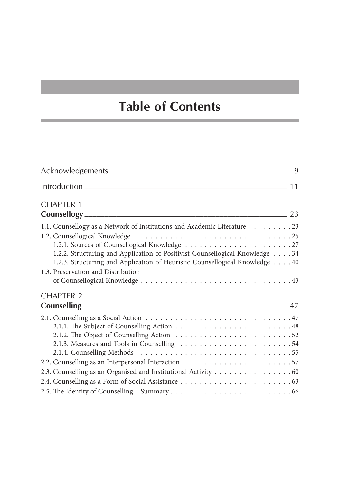## **Table of Contents**

| <b>CHAPTER 1</b>                                                                                                                                                                                                                        |  |
|-----------------------------------------------------------------------------------------------------------------------------------------------------------------------------------------------------------------------------------------|--|
| <b>Counsellogy</b> 23                                                                                                                                                                                                                   |  |
| 1.1. Counsellogy as a Network of Institutions and Academic Literature 23<br>1.2.2. Structuring and Application of Positivist Counsellogical Knowledge 34<br>1.2.3. Structuring and Application of Heuristic Counsellogical Knowledge 40 |  |
| 1.3. Preservation and Distribution                                                                                                                                                                                                      |  |
| CHAPTER <sub>2</sub>                                                                                                                                                                                                                    |  |
|                                                                                                                                                                                                                                         |  |
|                                                                                                                                                                                                                                         |  |
|                                                                                                                                                                                                                                         |  |
| 2.3. Counselling as an Organised and Institutional Activity 60                                                                                                                                                                          |  |
|                                                                                                                                                                                                                                         |  |
|                                                                                                                                                                                                                                         |  |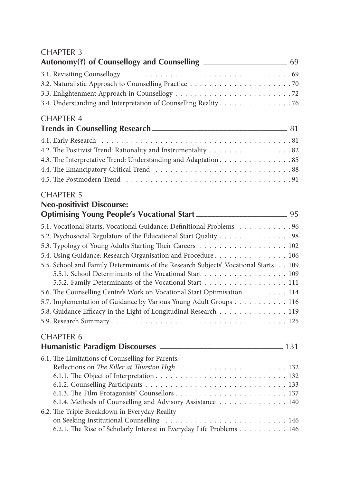## CHAPTER 3

| Autonomy(?) of Counsellogy and Counselling _______________________________ 69              |  |
|--------------------------------------------------------------------------------------------|--|
|                                                                                            |  |
|                                                                                            |  |
|                                                                                            |  |
| 3.4. Understanding and Interpretation of Counselling Reality 76                            |  |
| <b>CHAPTER 4</b>                                                                           |  |
|                                                                                            |  |
|                                                                                            |  |
|                                                                                            |  |
| 4.3. The Interpretative Trend: Understanding and Adaptation. 85                            |  |
|                                                                                            |  |
|                                                                                            |  |
| <b>CHAPTER 5</b>                                                                           |  |
| <b>Neo-positivist Discourse:</b>                                                           |  |
| Optimising Young People's Vocational Start ________________________________95              |  |
| 5.1. Vocational Starts, Vocational Guidance: Definitional Problems 96                      |  |
| 5.2. Psychosocial Regulators of the Educational Start Quality 98                           |  |
| 5.3. Typology of Young Adults Starting Their Careers 102                                   |  |
| 5.4. Using Guidance: Research Organisation and Procedure 106                               |  |
| 5.5. School and Family Determinants of the Research Subjects' Vocational Starts 109        |  |
| 5.5.1. School Determinants of the Vocational Start 109                                     |  |
| 5.5.2. Family Determinants of the Vocational Start 111                                     |  |
| 5.6. The Counselling Centre's Work on Vocational Start Optimisation 114                    |  |
| 5.7. Implementation of Guidance by Various Young Adult Groups 116                          |  |
| 5.8. Guidance Efficacy in the Light of Longitudinal Research 119                           |  |
|                                                                                            |  |
| <b>CHAPTER 6</b>                                                                           |  |
|                                                                                            |  |
| 6.1. The Limitations of Counselling for Parents:                                           |  |
|                                                                                            |  |
|                                                                                            |  |
|                                                                                            |  |
|                                                                                            |  |
| 6.1.4. Methods of Counselling and Advisory Assistance 140                                  |  |
| 6.2. The Triple Breakdown in Everyday Reality<br>on Seeking Institutional Counselling  146 |  |
| 6.2.1. The Rise of Scholarly Interest in Everyday Life Problems 146                        |  |
|                                                                                            |  |